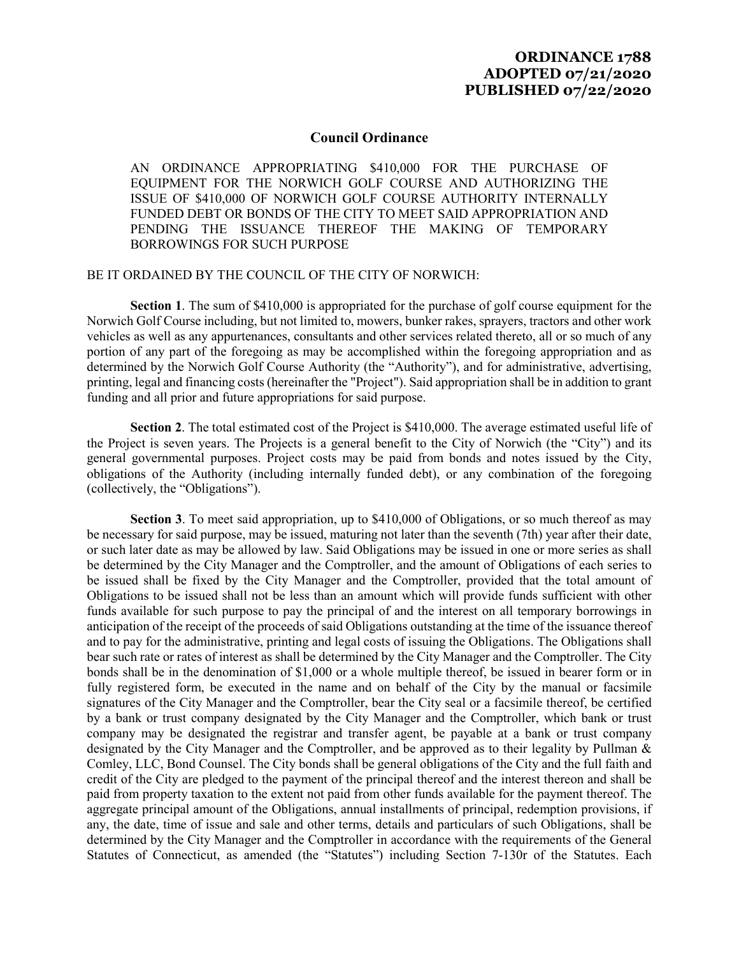## **ORDINANCE 1788 ADOPTED 07/21/2020 PUBLISHED 07/22/2020**

## **Council Ordinance**

AN ORDINANCE APPROPRIATING \$410,000 FOR THE PURCHASE OF EQUIPMENT FOR THE NORWICH GOLF COURSE AND AUTHORIZING THE ISSUE OF \$410,000 OF NORWICH GOLF COURSE AUTHORITY INTERNALLY FUNDED DEBT OR BONDS OF THE CITY TO MEET SAID APPROPRIATION AND PENDING THE ISSUANCE THEREOF THE MAKING OF TEMPORARY BORROWINGS FOR SUCH PURPOSE

## BE IT ORDAINED BY THE COUNCIL OF THE CITY OF NORWICH:

**Section 1**. The sum of \$410,000 is appropriated for the purchase of golf course equipment for the Norwich Golf Course including, but not limited to, mowers, bunker rakes, sprayers, tractors and other work vehicles as well as any appurtenances, consultants and other services related thereto, all or so much of any portion of any part of the foregoing as may be accomplished within the foregoing appropriation and as determined by the Norwich Golf Course Authority (the "Authority"), and for administrative, advertising, printing, legal and financing costs (hereinafter the "Project"). Said appropriation shall be in addition to grant funding and all prior and future appropriations for said purpose.

**Section 2**. The total estimated cost of the Project is \$410,000. The average estimated useful life of the Project is seven years. The Projects is a general benefit to the City of Norwich (the "City") and its general governmental purposes. Project costs may be paid from bonds and notes issued by the City, obligations of the Authority (including internally funded debt), or any combination of the foregoing (collectively, the "Obligations").

**Section 3**. To meet said appropriation, up to \$410,000 of Obligations, or so much thereof as may be necessary for said purpose, may be issued, maturing not later than the seventh (7th) year after their date, or such later date as may be allowed by law. Said Obligations may be issued in one or more series as shall be determined by the City Manager and the Comptroller, and the amount of Obligations of each series to be issued shall be fixed by the City Manager and the Comptroller, provided that the total amount of Obligations to be issued shall not be less than an amount which will provide funds sufficient with other funds available for such purpose to pay the principal of and the interest on all temporary borrowings in anticipation of the receipt of the proceeds of said Obligations outstanding at the time of the issuance thereof and to pay for the administrative, printing and legal costs of issuing the Obligations. The Obligations shall bear such rate or rates of interest as shall be determined by the City Manager and the Comptroller. The City bonds shall be in the denomination of \$1,000 or a whole multiple thereof, be issued in bearer form or in fully registered form, be executed in the name and on behalf of the City by the manual or facsimile signatures of the City Manager and the Comptroller, bear the City seal or a facsimile thereof, be certified by a bank or trust company designated by the City Manager and the Comptroller, which bank or trust company may be designated the registrar and transfer agent, be payable at a bank or trust company designated by the City Manager and the Comptroller, and be approved as to their legality by Pullman & Comley, LLC, Bond Counsel. The City bonds shall be general obligations of the City and the full faith and credit of the City are pledged to the payment of the principal thereof and the interest thereon and shall be paid from property taxation to the extent not paid from other funds available for the payment thereof. The aggregate principal amount of the Obligations, annual installments of principal, redemption provisions, if any, the date, time of issue and sale and other terms, details and particulars of such Obligations, shall be determined by the City Manager and the Comptroller in accordance with the requirements of the General Statutes of Connecticut, as amended (the "Statutes") including Section 7-130r of the Statutes. Each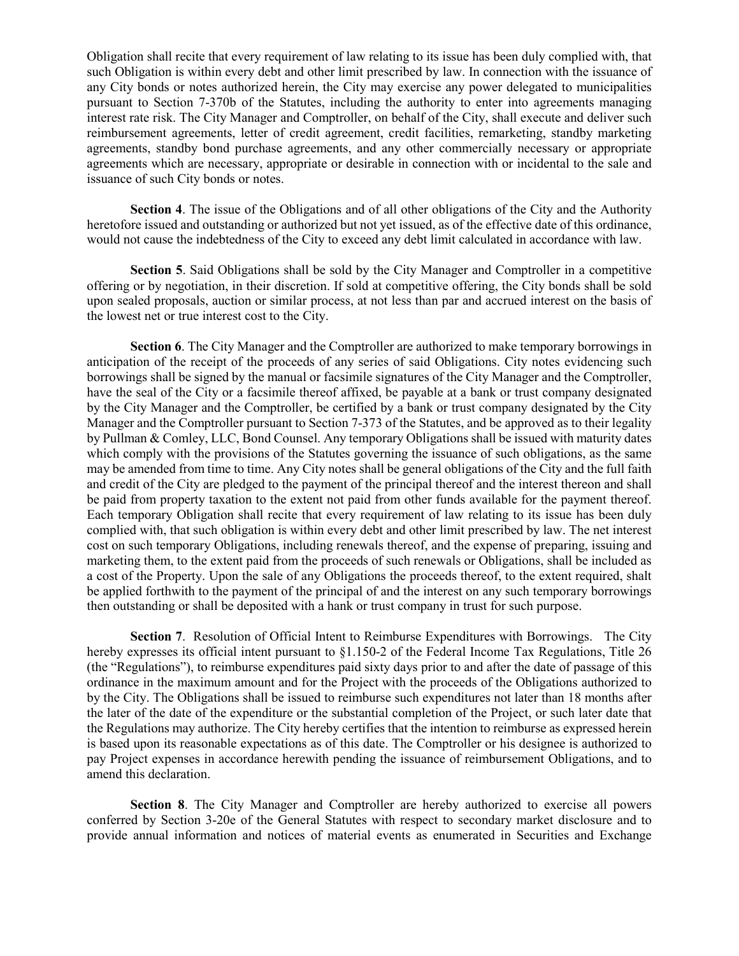Obligation shall recite that every requirement of law relating to its issue has been duly complied with, that such Obligation is within every debt and other limit prescribed by law. In connection with the issuance of any City bonds or notes authorized herein, the City may exercise any power delegated to municipalities pursuant to Section 7-370b of the Statutes, including the authority to enter into agreements managing interest rate risk. The City Manager and Comptroller, on behalf of the City, shall execute and deliver such reimbursement agreements, letter of credit agreement, credit facilities, remarketing, standby marketing agreements, standby bond purchase agreements, and any other commercially necessary or appropriate agreements which are necessary, appropriate or desirable in connection with or incidental to the sale and issuance of such City bonds or notes.

**Section 4**. The issue of the Obligations and of all other obligations of the City and the Authority heretofore issued and outstanding or authorized but not yet issued, as of the effective date of this ordinance, would not cause the indebtedness of the City to exceed any debt limit calculated in accordance with law.

**Section 5**. Said Obligations shall be sold by the City Manager and Comptroller in a competitive offering or by negotiation, in their discretion. If sold at competitive offering, the City bonds shall be sold upon sealed proposals, auction or similar process, at not less than par and accrued interest on the basis of the lowest net or true interest cost to the City.

**Section 6**. The City Manager and the Comptroller are authorized to make temporary borrowings in anticipation of the receipt of the proceeds of any series of said Obligations. City notes evidencing such borrowings shall be signed by the manual or facsimile signatures of the City Manager and the Comptroller, have the seal of the City or a facsimile thereof affixed, be payable at a bank or trust company designated by the City Manager and the Comptroller, be certified by a bank or trust company designated by the City Manager and the Comptroller pursuant to Section 7-373 of the Statutes, and be approved as to their legality by Pullman & Comley, LLC, Bond Counsel. Any temporary Obligations shall be issued with maturity dates which comply with the provisions of the Statutes governing the issuance of such obligations, as the same may be amended from time to time. Any City notes shall be general obligations of the City and the full faith and credit of the City are pledged to the payment of the principal thereof and the interest thereon and shall be paid from property taxation to the extent not paid from other funds available for the payment thereof. Each temporary Obligation shall recite that every requirement of law relating to its issue has been duly complied with, that such obligation is within every debt and other limit prescribed by law. The net interest cost on such temporary Obligations, including renewals thereof, and the expense of preparing, issuing and marketing them, to the extent paid from the proceeds of such renewals or Obligations, shall be included as a cost of the Property. Upon the sale of any Obligations the proceeds thereof, to the extent required, shalt be applied forthwith to the payment of the principal of and the interest on any such temporary borrowings then outstanding or shall be deposited with a hank or trust company in trust for such purpose.

**Section 7**. Resolution of Official Intent to Reimburse Expenditures with Borrowings. The City hereby expresses its official intent pursuant to  $\S1.150-2$  of the Federal Income Tax Regulations, Title 26 (the "Regulations"), to reimburse expenditures paid sixty days prior to and after the date of passage of this ordinance in the maximum amount and for the Project with the proceeds of the Obligations authorized to by the City. The Obligations shall be issued to reimburse such expenditures not later than 18 months after the later of the date of the expenditure or the substantial completion of the Project, or such later date that the Regulations may authorize. The City hereby certifies that the intention to reimburse as expressed herein is based upon its reasonable expectations as of this date. The Comptroller or his designee is authorized to pay Project expenses in accordance herewith pending the issuance of reimbursement Obligations, and to amend this declaration.

**Section 8**. The City Manager and Comptroller are hereby authorized to exercise all powers conferred by Section 3-20e of the General Statutes with respect to secondary market disclosure and to provide annual information and notices of material events as enumerated in Securities and Exchange